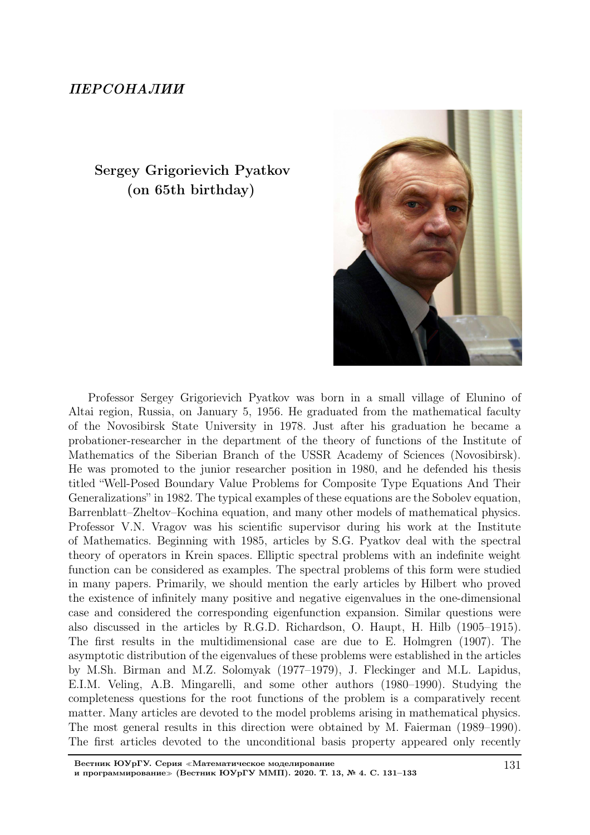## ПЕРСОНАЛИИ

## Sergey Grigorievich Pyatkov (on 65th birthday)



Professor Sergey Grigorievich Pyatkov was born in a small village of Elunino of Altai region, Russia, on January 5, 1956. He graduated from the mathematical faculty of the Novosibirsk State University in 1978. Just after his graduation he became a probationer-researcher in the department of the theory of functions of the Institute of Mathematics of the Siberian Branch of the USSR Academy of Sciences (Novosibirsk). He was promoted to the junior researcher position in 1980, and he defended his thesis titled "Well-Posed Boundary Value Problems for Composite Type Equations And Their Generalizations" in 1982. The typical examples of these equations are the Sobolev equation, Barrenblatt–Zheltov–Kochina equation, and many other models of mathematical physics. Professor V.N. Vragov was his scientific supervisor during his work at the Institute of Mathematics. Beginning with 1985, articles by S.G. Pyatkov deal with the spectral theory of operators in Krein spaces. Elliptic spectral problems with an indefinite weight function can be considered as examples. The spectral problems of this form were studied in many papers. Primarily, we should mention the early articles by Hilbert who proved the existence of infinitely many positive and negative eigenvalues in the one-dimensional case and considered the corresponding eigenfunction expansion. Similar questions were also discussed in the articles by R.G.D. Richardson, O. Haupt, H. Hilb (1905–1915). The first results in the multidimensional case are due to E. Holmgren (1907). The asymptotic distribution of the eigenvalues of these problems were established in the articles by M.Sh. Birman and M.Z. Solomyak (1977–1979), J. Fleckinger and M.L. Lapidus, E.I.M. Veling, A.B. Mingarelli, and some other authors (1980–1990). Studying the completeness questions for the root functions of the problem is a comparatively recent matter. Many articles are devoted to the model problems arising in mathematical physics. The most general results in this direction were obtained by M. Faierman (1989–1990). The first articles devoted to the unconditional basis property appeared only recently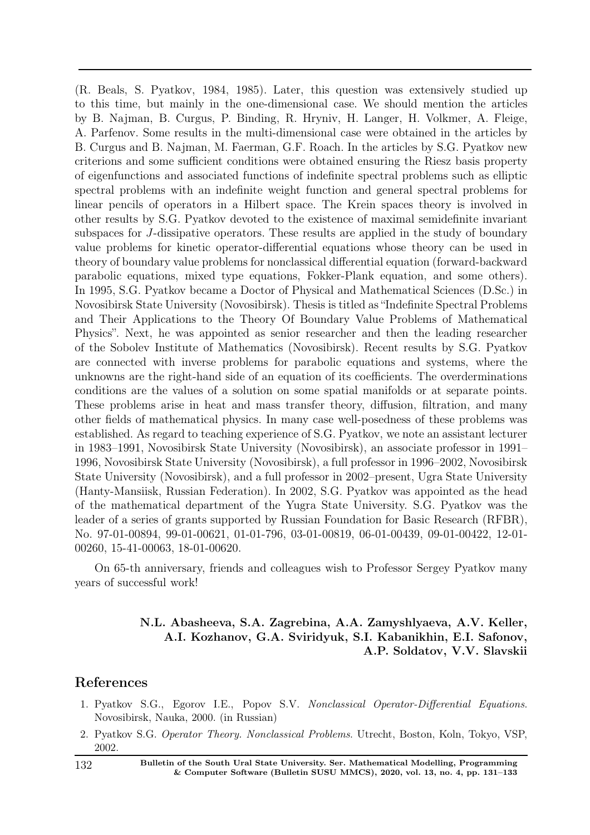(R. Beals, S. Pyatkov, 1984, 1985). Later, this question was extensively studied up to this time, but mainly in the one-dimensional case. We should mention the articles by B. Najman, B. Curgus, P. Binding, R. Hryniv, H. Langer, H. Volkmer, A. Fleige, A. Parfenov. Some results in the multi-dimensional case were obtained in the articles by B. Curgus and B. Najman, M. Faerman, G.F. Roach. In the articles by S.G. Pyatkov new criterions and some sufficient conditions were obtained ensuring the Riesz basis property of eigenfunctions and associated functions of indefinite spectral problems such as elliptic spectral problems with an indefinite weight function and general spectral problems for linear pencils of operators in a Hilbert space. The Krein spaces theory is involved in other results by S.G. Pyatkov devoted to the existence of maximal semidefinite invariant subspaces for J-dissipative operators. These results are applied in the study of boundary value problems for kinetic operator-differential equations whose theory can be used in theory of boundary value problems for nonclassical differential equation (forward-backward parabolic equations, mixed type equations, Fokker-Plank equation, and some others). In 1995, S.G. Pyatkov became a Doctor of Physical and Mathematical Sciences (D.Sc.) in Novosibirsk State University (Novosibirsk). Thesis is titled as "Indefinite Spectral Problems and Their Applications to the Theory Of Boundary Value Problems of Mathematical Physics". Next, he was appointed as senior researcher and then the leading researcher of the Sobolev Institute of Mathematics (Novosibirsk). Recent results by S.G. Pyatkov are connected with inverse problems for parabolic equations and systems, where the unknowns are the right-hand side of an equation of its coefficients. The overderminations conditions are the values of a solution on some spatial manifolds or at separate points. These problems arise in heat and mass transfer theory, diffusion, filtration, and many other fields of mathematical physics. In many case well-posedness of these problems was established. As regard to teaching experience of S.G. Pyatkov, we note an assistant lecturer in 1983–1991, Novosibirsk State University (Novosibirsk), an associate professor in 1991– 1996, Novosibirsk State University (Novosibirsk), a full professor in 1996–2002, Novosibirsk State University (Novosibirsk), and a full professor in 2002–present, Ugra State University (Hanty-Mansiisk, Russian Federation). In 2002, S.G. Pyatkov was appointed as the head of the mathematical department of the Yugra State University. S.G. Pyatkov was the leader of a series of grants supported by Russian Foundation for Basic Research (RFBR), No. 97-01-00894, 99-01-00621, 01-01-796, 03-01-00819, 06-01-00439, 09-01-00422, 12-01- 00260, 15-41-00063, 18-01-00620.

On 65-th anniversary, friends and colleagues wish to Professor Sergey Pyatkov many years of successful work!

## N.L. Abasheeva, S.A. Zagrebina, A.A. Zamyshlyaeva, A.V. Keller, A.I. Kozhanov, G.A. Sviridyuk, S.I. Kabanikhin, E.I. Safonov, A.P. Soldatov, V.V. Slavskii

## References

- 1. Pyatkov S.G., Egorov I.E., Popov S.V. Nonclassical Operator-Differential Equations. Novosibirsk, Nauka, 2000. (in Russian)
- 2. Pyatkov S.G. Operator Theory. Nonclassical Problems. Utrecht, Boston, Koln, Tokyo, VSP, 2002.